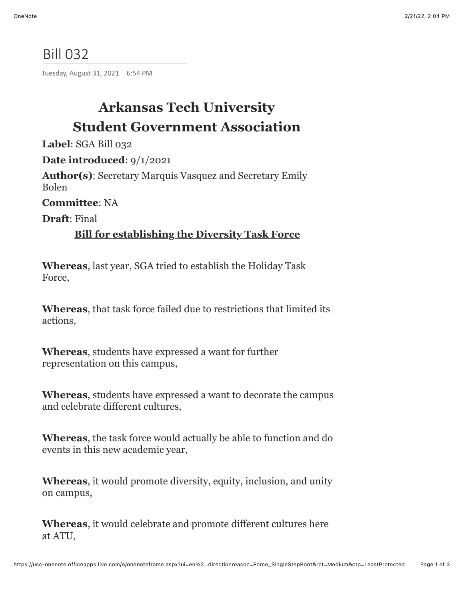## Bill 032

Tuesday, August 31, 2021 6:54 PM

# **Arkansas Tech University Student Government Association**

**Label**: SGA Bill 032

**Date introduced**: 9/1/2021

**Author(s)**: Secretary Marquis Vasquez and Secretary Emily Bolen

**Committee**: NA

**Draft**: Final

#### **Bill for establishing the Diversity Task Force**

**Whereas**, last year, SGA tried to establish the Holiday Task Force,

**Whereas**, that task force failed due to restrictions that limited its actions,

**Whereas**, students have expressed a want for further representation on this campus,

**Whereas**, students have expressed a want to decorate the campus and celebrate different cultures,

**Whereas**, the task force would actually be able to function and do events in this new academic year,

**Whereas**, it would promote diversity, equity, inclusion, and unity on campus,

**Whereas**, it would celebrate and promote different cultures here at ATU,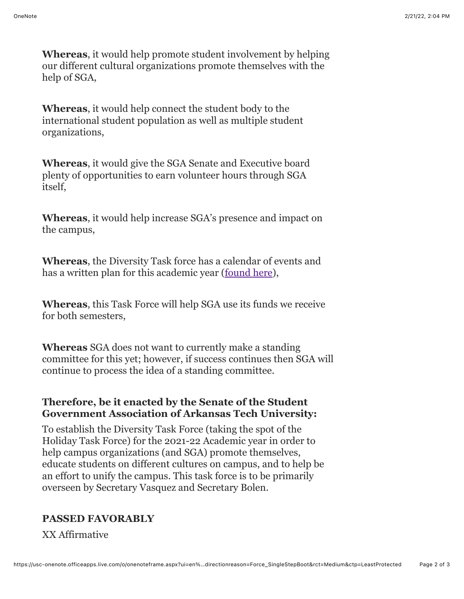**Whereas**, it would help promote student involvement by helping our different cultural organizations promote themselves with the help of SGA,

**Whereas**, it would help connect the student body to the international student population as well as multiple student organizations,

**Whereas**, it would give the SGA Senate and Executive board plenty of opportunities to earn volunteer hours through SGA itself,

**Whereas**, it would help increase SGA's presence and impact on the campus,

**Whereas**, the Diversity Task force has a calendar of events and has a written plan for this academic year ([found here\)](https://docs.google.com/document/d/1yPzmxfVGh9HkDhOnbSzBHacdpZMOyVF8/edit?usp=sharing&ouid=113408221570420285686&rtpof=true&sd=true),

**Whereas**, this Task Force will help SGA use its funds we receive for both semesters,

**Whereas** SGA does not want to currently make a standing committee for this yet; however, if success continues then SGA will continue to process the idea of a standing committee.

#### **Therefore, be it enacted by the Senate of the Student Government Association of Arkansas Tech University:**

To establish the Diversity Task Force (taking the spot of the Holiday Task Force) for the 2021-22 Academic year in order to help campus organizations (and SGA) promote themselves, educate students on different cultures on campus, and to help be an effort to unify the campus. This task force is to be primarily overseen by Secretary Vasquez and Secretary Bolen.

### **PASSED FAVORABLY**

XX Affirmative